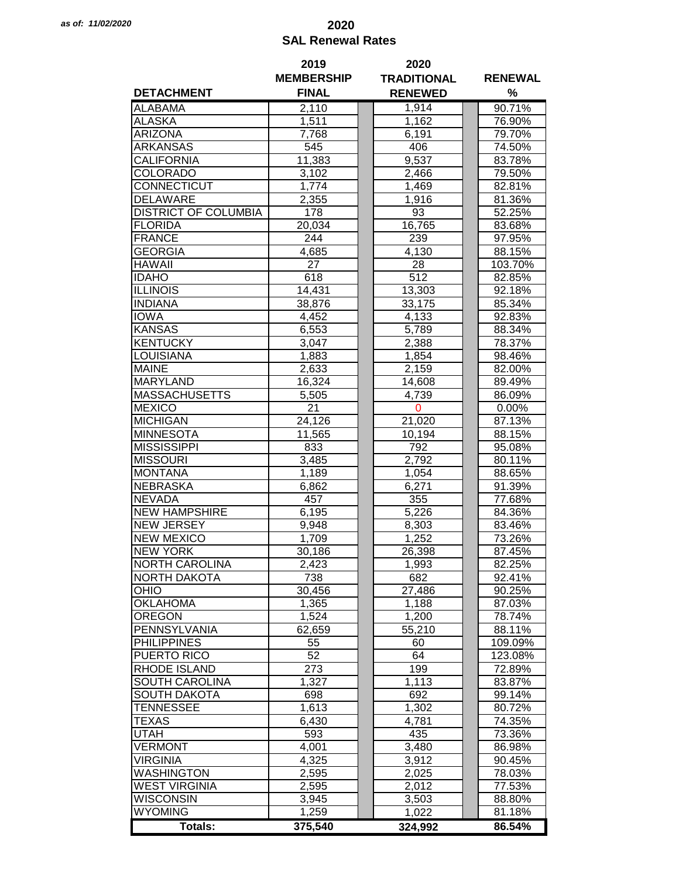## *as of: 11/02/2020* **2020 SAL Renewal Rates**

|                             | 2019              | 2020               |                |  |
|-----------------------------|-------------------|--------------------|----------------|--|
|                             | <b>MEMBERSHIP</b> | <b>TRADITIONAL</b> | <b>RENEWAL</b> |  |
| <b>DETACHMENT</b>           | <b>FINAL</b>      | <b>RENEWED</b>     | %              |  |
| <b>ALABAMA</b>              | 2,110             | 1,914              | 90.71%         |  |
| <b>ALASKA</b>               | 1,511             | 1,162              | 76.90%         |  |
| <b>ARIZONA</b>              | 7,768             | 6,191              | 79.70%         |  |
| ARKANSAS                    | 545               | 406                | 74.50%         |  |
|                             |                   |                    |                |  |
| CALIFORNIA                  | 11,383            | 9,537              | 83.78%         |  |
| <b>COLORADO</b>             | 3,102             | 2,466              | 79.50%         |  |
| CONNECTICUT                 | 1,774             | 1,469              | 82.81%         |  |
| <b>DELAWARE</b>             | 2,355             | 1,916              | 81.36%         |  |
| <b>DISTRICT OF COLUMBIA</b> | 178               | 93                 | 52.25%         |  |
| <b>FLORIDA</b>              | 20,034            | 16,765             | 83.68%         |  |
| <b>FRANCE</b>               | 244               | 239                | 97.95%         |  |
| <b>GEORGIA</b>              | 4,685             | 4,130              | 88.15%         |  |
| <b>HAWAII</b>               | 27                | 28                 | 103.70%        |  |
| <b>IDAHO</b>                | 618               | 512                | 82.85%         |  |
| <b>ILLINOIS</b>             | 14,431            | 13,303             | 92.18%         |  |
| <b>INDIANA</b>              | 38,876            | 33,175             | 85.34%         |  |
| <b>IOWA</b>                 | 4,452             | 4,133              | 92.83%         |  |
| <b>KANSAS</b>               | 6,553             | 5,789              | 88.34%         |  |
| <b>KENTUCKY</b>             | 3,047             | 2,388              | 78.37%         |  |
| <b>LOUISIANA</b>            | 1,883             | 1,854              | 98.46%         |  |
| <b>MAINE</b>                | 2,633             | 2,159              | 82.00%         |  |
| <b>MARYLAND</b>             | 16,324            | 14,608             | 89.49%         |  |
| <b>MASSACHUSETTS</b>        | 5,505             | 4,739              | 86.09%         |  |
| <b>MEXICO</b>               | 21                | $\mathbf 0$        | $0.00\%$       |  |
| <b>MICHIGAN</b>             | 24,126            | 21,020             | 87.13%         |  |
| <b>MINNESOTA</b>            |                   |                    | 88.15%         |  |
| <b>MISSISSIPPI</b>          | 11,565            | 10,194             |                |  |
|                             | 833               | 792                | 95.08%         |  |
| <b>MISSOURI</b>             | 3,485             | 2,792              | 80.11%         |  |
| <b>MONTANA</b>              | 1,189             | 1,054              | 88.65%         |  |
| <b>NEBRASKA</b>             | 6,862             | 6,271              | 91.39%         |  |
| <b>NEVADA</b>               | 457               | 355                | 77.68%         |  |
| <b>NEW HAMPSHIRE</b>        | 6,195             | 5,226              | 84.36%         |  |
| <b>NEW JERSEY</b>           | 9,948             | 8,303              | 83.46%         |  |
| <b>NEW MEXICO</b>           | 1,709             | 1,252              | 73.26%         |  |
| <b>NEW YORK</b>             | 30,186            | 26,398             | 87.45%         |  |
| <b>NORTH CAROLINA</b>       | 2,423             | 1,993              | 82.25%         |  |
| <b>NORTH DAKOTA</b>         | 738               | 682                | 92.41%         |  |
| OHIO                        | 30,456            | 27,486             | 90.25%         |  |
| <b>OKLAHOMA</b>             | 1,365             | 1,188              | 87.03%         |  |
| <b>OREGON</b>               | 1,524             | 1,200              | 78.74%         |  |
| PENNSYLVANIA                | 62,659            | 55,210             | 88.11%         |  |
| <b>PHILIPPINES</b>          | 55                | 60                 | 109.09%        |  |
| PUERTO RICO                 | 52                | 64                 | 123.08%        |  |
| <b>RHODE ISLAND</b>         | 273               | 199                | 72.89%         |  |
| SOUTH CAROLINA              | 1,327             | 1,113              | 83.87%         |  |
| <b>SOUTH DAKOTA</b>         | 698               | 692                | 99.14%         |  |
| <b>TENNESSEE</b>            | 1,613             | 1,302              | 80.72%         |  |
| <b>TEXAS</b>                | 6,430             | 4,781              | 74.35%         |  |
| <b>UTAH</b>                 | 593               | 435                | 73.36%         |  |
| <b>VERMONT</b>              | 4,001             | 3,480              | 86.98%         |  |
| <b>VIRGINIA</b>             | 4,325             | 3,912              | 90.45%         |  |
| <b>WASHINGTON</b>           |                   |                    |                |  |
|                             | 2,595             | 2,025              | 78.03%         |  |
| <b>WEST VIRGINIA</b>        | 2,595             | 2,012              | 77.53%         |  |
| <b>WISCONSIN</b>            | 3,945             | 3,503              | 88.80%         |  |
| <b>WYOMING</b>              | 1,259             | 1,022              | 81.18%         |  |
| <b>Totals:</b>              | 375,540           | 324,992            | 86.54%         |  |